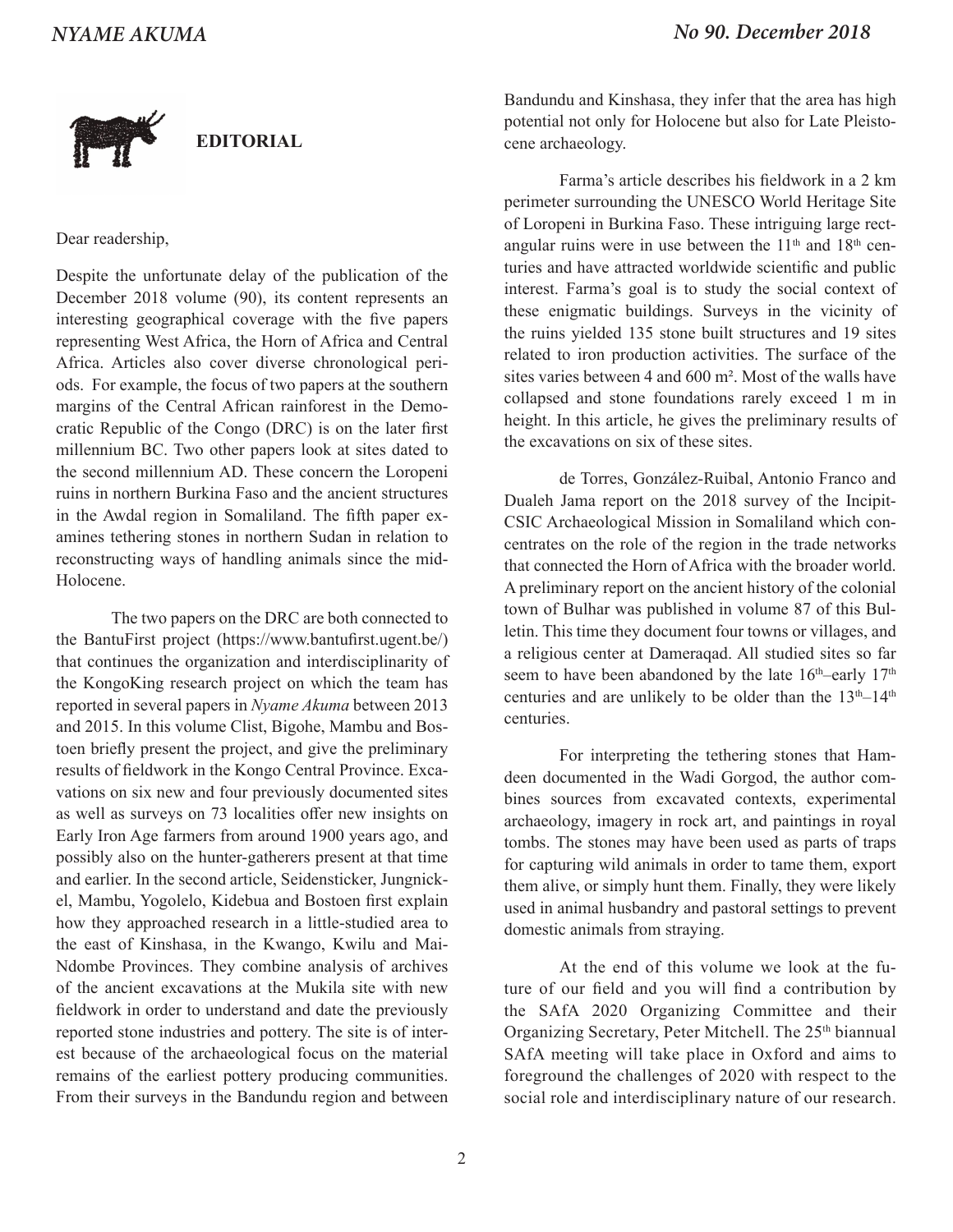

## **EDITORIAL**

Dear readership,

Despite the unfortunate delay of the publication of the December 2018 volume (90), its content represents an interesting geographical coverage with the five papers representing West Africa, the Horn of Africa and Central Africa. Articles also cover diverse chronological periods. For example, the focus of two papers at the southern margins of the Central African rainforest in the Democratic Republic of the Congo (DRC) is on the later first millennium BC. Two other papers look at sites dated to the second millennium AD. These concern the Loropeni ruins in northern Burkina Faso and the ancient structures in the Awdal region in Somaliland. The fifth paper examines tethering stones in northern Sudan in relation to reconstructing ways of handling animals since the mid-Holocene.

The two papers on the DRC are both connected to the BantuFirst project (https://www.bantufirst.ugent.be/) that continues the organization and interdisciplinarity of the KongoKing research project on which the team has reported in several papers in *Nyame Akuma* between 2013 and 2015. In this volume Clist, Bigohe, Mambu and Bostoen briefly present the project, and give the preliminary results of fieldwork in the Kongo Central Province. Excavations on six new and four previously documented sites as well as surveys on 73 localities offer new insights on Early Iron Age farmers from around 1900 years ago, and possibly also on the hunter-gatherers present at that time and earlier. In the second article, Seidensticker, Jungnickel, Mambu, Yogolelo, Kidebua and Bostoen first explain how they approached research in a little-studied area to the east of Kinshasa, in the Kwango, Kwilu and Mai-Ndombe Provinces. They combine analysis of archives of the ancient excavations at the Mukila site with new fieldwork in order to understand and date the previously reported stone industries and pottery. The site is of interest because of the archaeological focus on the material remains of the earliest pottery producing communities. From their surveys in the Bandundu region and between

Bandundu and Kinshasa, they infer that the area has high potential not only for Holocene but also for Late Pleistocene archaeology.

Farma's article describes his fieldwork in a 2 km perimeter surrounding the UNESCO World Heritage Site of Loropeni in Burkina Faso. These intriguing large rectangular ruins were in use between the  $11<sup>th</sup>$  and  $18<sup>th</sup>$  centuries and have attracted worldwide scientific and public interest. Farma's goal is to study the social context of these enigmatic buildings. Surveys in the vicinity of the ruins yielded 135 stone built structures and 19 sites related to iron production activities. The surface of the sites varies between 4 and 600 m². Most of the walls have collapsed and stone foundations rarely exceed 1 m in height. In this article, he gives the preliminary results of the excavations on six of these sites.

de Torres, González-Ruibal, Antonio Franco and Dualeh Jama report on the 2018 survey of the Incipit-CSIC Archaeological Mission in Somaliland which concentrates on the role of the region in the trade networks that connected the Horn of Africa with the broader world. A preliminary report on the ancient history of the colonial town of Bulhar was published in volume 87 of this Bulletin. This time they document four towns or villages, and a religious center at Dameraqad. All studied sites so far seem to have been abandoned by the late  $16<sup>th</sup>$ –early  $17<sup>th</sup>$ centuries and are unlikely to be older than the  $13<sup>th</sup>-14<sup>th</sup>$ centuries.

For interpreting the tethering stones that Hamdeen documented in the Wadi Gorgod, the author combines sources from excavated contexts, experimental archaeology, imagery in rock art, and paintings in royal tombs. The stones may have been used as parts of traps for capturing wild animals in order to tame them, export them alive, or simply hunt them. Finally, they were likely used in animal husbandry and pastoral settings to prevent domestic animals from straying.

At the end of this volume we look at the future of our field and you will find a contribution by the SAfA 2020 Organizing Committee and their Organizing Secretary, Peter Mitchell. The 25<sup>th</sup> biannual SAfA meeting will take place in Oxford and aims to foreground the challenges of 2020 with respect to the social role and interdisciplinary nature of our research.